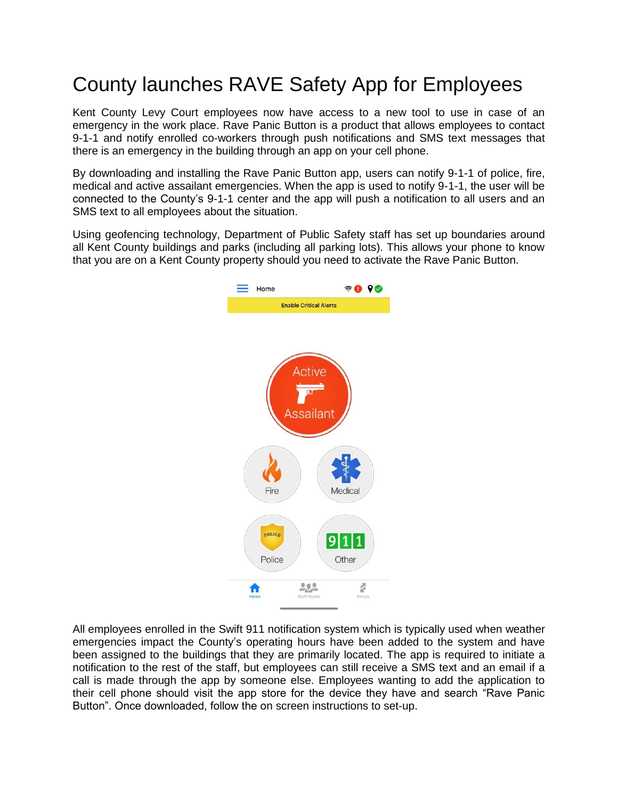## County launches RAVE Safety App for Employees

Kent County Levy Court employees now have access to a new tool to use in case of an emergency in the work place. Rave Panic Button is a product that allows employees to contact 9-1-1 and notify enrolled co-workers through push notifications and SMS text messages that there is an emergency in the building through an app on your cell phone.

By downloading and installing the Rave Panic Button app, users can notify 9-1-1 of police, fire, medical and active assailant emergencies. When the app is used to notify 9-1-1, the user will be connected to the County's 9-1-1 center and the app will push a notification to all users and an SMS text to all employees about the situation.

Using geofencing technology, Department of Public Safety staff has set up boundaries around all Kent County buildings and parks (including all parking lots). This allows your phone to know that you are on a Kent County property should you need to activate the Rave Panic Button.



All employees enrolled in the Swift 911 notification system which is typically used when weather emergencies impact the County's operating hours have been added to the system and have been assigned to the buildings that they are primarily located. The app is required to initiate a notification to the rest of the staff, but employees can still receive a SMS text and an email if a call is made through the app by someone else. Employees wanting to add the application to their cell phone should visit the app store for the device they have and search "Rave Panic Button". Once downloaded, follow the on screen instructions to set-up.